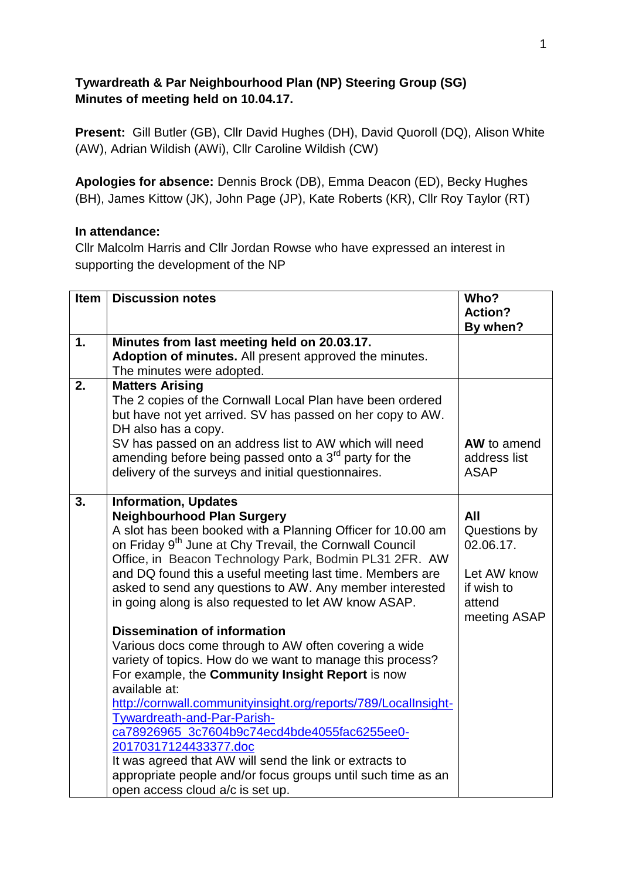## **Tywardreath & Par Neighbourhood Plan (NP) Steering Group (SG) Minutes of meeting held on 10.04.17.**

**Present:** Gill Butler (GB), Cllr David Hughes (DH), David Quoroll (DQ), Alison White (AW), Adrian Wildish (AWi), Cllr Caroline Wildish (CW)

**Apologies for absence:** Dennis Brock (DB), Emma Deacon (ED), Becky Hughes (BH), James Kittow (JK), John Page (JP), Kate Roberts (KR), Cllr Roy Taylor (RT)

## **In attendance:**

Cllr Malcolm Harris and Cllr Jordan Rowse who have expressed an interest in supporting the development of the NP

| <b>Item</b> | <b>Discussion notes</b>                                                                                                                                                                                                                                                                                                                                                                                                                                                                                                                                                                                                                                                                                                                                                                                                                                                                                                                                                                                                       | Who?<br><b>Action?</b>                                                                  |
|-------------|-------------------------------------------------------------------------------------------------------------------------------------------------------------------------------------------------------------------------------------------------------------------------------------------------------------------------------------------------------------------------------------------------------------------------------------------------------------------------------------------------------------------------------------------------------------------------------------------------------------------------------------------------------------------------------------------------------------------------------------------------------------------------------------------------------------------------------------------------------------------------------------------------------------------------------------------------------------------------------------------------------------------------------|-----------------------------------------------------------------------------------------|
|             |                                                                                                                                                                                                                                                                                                                                                                                                                                                                                                                                                                                                                                                                                                                                                                                                                                                                                                                                                                                                                               | By when?                                                                                |
| 1.          | Minutes from last meeting held on 20.03.17.<br>Adoption of minutes. All present approved the minutes.<br>The minutes were adopted.                                                                                                                                                                                                                                                                                                                                                                                                                                                                                                                                                                                                                                                                                                                                                                                                                                                                                            |                                                                                         |
| 2.          | <b>Matters Arising</b><br>The 2 copies of the Cornwall Local Plan have been ordered<br>but have not yet arrived. SV has passed on her copy to AW.<br>DH also has a copy.<br>SV has passed on an address list to AW which will need<br>amending before being passed onto a 3 <sup>rd</sup> party for the<br>delivery of the surveys and initial questionnaires.                                                                                                                                                                                                                                                                                                                                                                                                                                                                                                                                                                                                                                                                | AW to amend<br>address list<br><b>ASAP</b>                                              |
| 3.          | <b>Information, Updates</b><br><b>Neighbourhood Plan Surgery</b><br>A slot has been booked with a Planning Officer for 10.00 am<br>on Friday 9 <sup>th</sup> June at Chy Trevail, the Cornwall Council<br>Office, in Beacon Technology Park, Bodmin PL31 2FR. AW<br>and DQ found this a useful meeting last time. Members are<br>asked to send any questions to AW. Any member interested<br>in going along is also requested to let AW know ASAP.<br><b>Dissemination of information</b><br>Various docs come through to AW often covering a wide<br>variety of topics. How do we want to manage this process?<br>For example, the Community Insight Report is now<br>available at:<br>http://cornwall.communityinsight.org/reports/789/LocalInsight-<br>Tywardreath-and-Par-Parish-<br>ca78926965_3c7604b9c74ecd4bde4055fac6255ee0-<br>20170317124433377.doc<br>It was agreed that AW will send the link or extracts to<br>appropriate people and/or focus groups until such time as an<br>open access cloud a/c is set up. | All<br>Questions by<br>02.06.17.<br>Let AW know<br>if wish to<br>attend<br>meeting ASAP |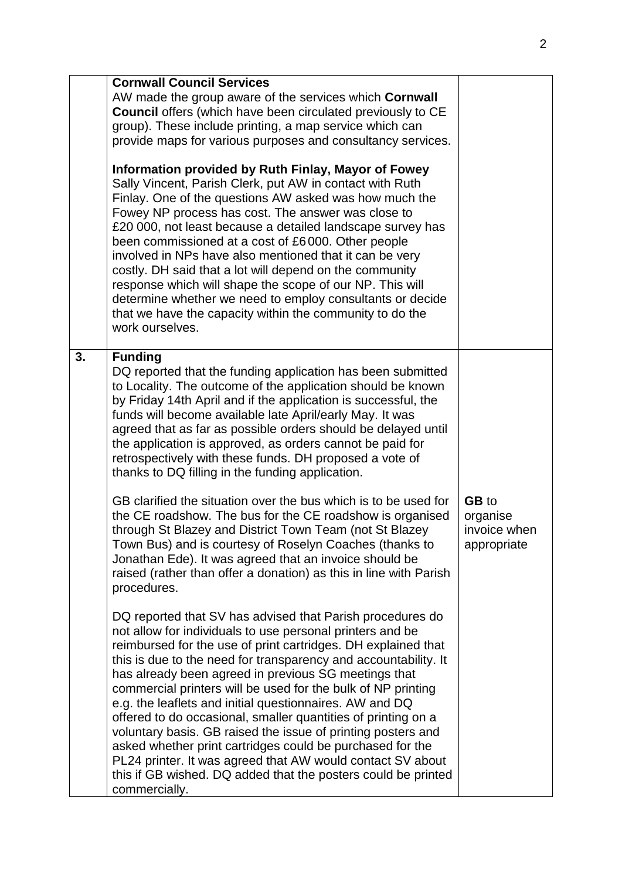|    | <b>Cornwall Council Services</b><br>AW made the group aware of the services which <b>Cornwall</b><br><b>Council offers (which have been circulated previously to CE</b><br>group). These include printing, a map service which can<br>provide maps for various purposes and consultancy services.<br>Information provided by Ruth Finlay, Mayor of Fowey<br>Sally Vincent, Parish Clerk, put AW in contact with Ruth<br>Finlay. One of the questions AW asked was how much the<br>Fowey NP process has cost. The answer was close to<br>£20 000, not least because a detailed landscape survey has<br>been commissioned at a cost of £6000. Other people<br>involved in NPs have also mentioned that it can be very<br>costly. DH said that a lot will depend on the community<br>response which will shape the scope of our NP. This will<br>determine whether we need to employ consultants or decide<br>that we have the capacity within the community to do the<br>work ourselves.                                                                                                                                                                                                                                                            |                                                         |
|----|---------------------------------------------------------------------------------------------------------------------------------------------------------------------------------------------------------------------------------------------------------------------------------------------------------------------------------------------------------------------------------------------------------------------------------------------------------------------------------------------------------------------------------------------------------------------------------------------------------------------------------------------------------------------------------------------------------------------------------------------------------------------------------------------------------------------------------------------------------------------------------------------------------------------------------------------------------------------------------------------------------------------------------------------------------------------------------------------------------------------------------------------------------------------------------------------------------------------------------------------------|---------------------------------------------------------|
| 3. | <b>Funding</b><br>DQ reported that the funding application has been submitted<br>to Locality. The outcome of the application should be known<br>by Friday 14th April and if the application is successful, the<br>funds will become available late April/early May. It was<br>agreed that as far as possible orders should be delayed until<br>the application is approved, as orders cannot be paid for<br>retrospectively with these funds. DH proposed a vote of<br>thanks to DQ filling in the funding application.<br>GB clarified the situation over the bus which is to be used for<br>the CE roadshow. The bus for the CE roadshow is organised<br>through St Blazey and District Town Team (not St Blazey<br>Town Bus) and is courtesy of Roselyn Coaches (thanks to<br>Jonathan Ede). It was agreed that an invoice should be<br>raised (rather than offer a donation) as this in line with Parish<br>procedures.<br>DQ reported that SV has advised that Parish procedures do<br>not allow for individuals to use personal printers and be<br>reimbursed for the use of print cartridges. DH explained that<br>this is due to the need for transparency and accountability. It<br>has already been agreed in previous SG meetings that | <b>GB</b> to<br>organise<br>invoice when<br>appropriate |
|    | commercial printers will be used for the bulk of NP printing<br>e.g. the leaflets and initial questionnaires. AW and DQ<br>offered to do occasional, smaller quantities of printing on a<br>voluntary basis. GB raised the issue of printing posters and<br>asked whether print cartridges could be purchased for the<br>PL24 printer. It was agreed that AW would contact SV about<br>this if GB wished. DQ added that the posters could be printed<br>commercially.                                                                                                                                                                                                                                                                                                                                                                                                                                                                                                                                                                                                                                                                                                                                                                             |                                                         |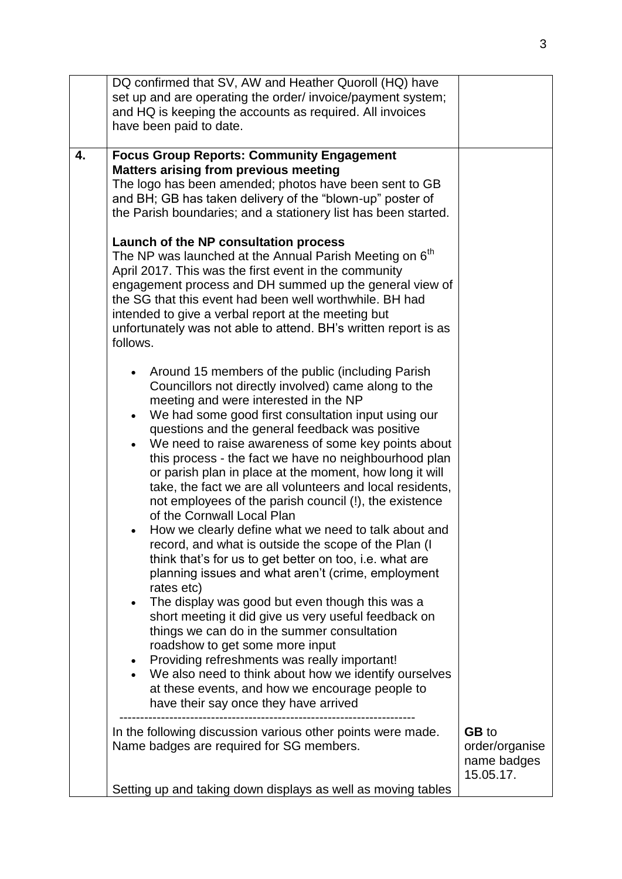|    | DQ confirmed that SV, AW and Heather Quoroll (HQ) have<br>set up and are operating the order/ invoice/payment system;<br>and HQ is keeping the accounts as required. All invoices<br>have been paid to date.                                                                                                                                                                                                                                                                                                                                                                                                                                                                                                                                                                                                                                                                                                                                                                                                                                                                                                                                                                                                                                                                 |                                                            |
|----|------------------------------------------------------------------------------------------------------------------------------------------------------------------------------------------------------------------------------------------------------------------------------------------------------------------------------------------------------------------------------------------------------------------------------------------------------------------------------------------------------------------------------------------------------------------------------------------------------------------------------------------------------------------------------------------------------------------------------------------------------------------------------------------------------------------------------------------------------------------------------------------------------------------------------------------------------------------------------------------------------------------------------------------------------------------------------------------------------------------------------------------------------------------------------------------------------------------------------------------------------------------------------|------------------------------------------------------------|
| 4. | <b>Focus Group Reports: Community Engagement</b><br><b>Matters arising from previous meeting</b><br>The logo has been amended; photos have been sent to GB<br>and BH; GB has taken delivery of the "blown-up" poster of<br>the Parish boundaries; and a stationery list has been started.<br>Launch of the NP consultation process<br>The NP was launched at the Annual Parish Meeting on 6 <sup>th</sup><br>April 2017. This was the first event in the community<br>engagement process and DH summed up the general view of<br>the SG that this event had been well worthwhile. BH had<br>intended to give a verbal report at the meeting but<br>unfortunately was not able to attend. BH's written report is as<br>follows.                                                                                                                                                                                                                                                                                                                                                                                                                                                                                                                                               |                                                            |
|    | Around 15 members of the public (including Parish<br>Councillors not directly involved) came along to the<br>meeting and were interested in the NP<br>We had some good first consultation input using our<br>$\bullet$<br>questions and the general feedback was positive<br>We need to raise awareness of some key points about<br>this process - the fact we have no neighbourhood plan<br>or parish plan in place at the moment, how long it will<br>take, the fact we are all volunteers and local residents,<br>not employees of the parish council (!), the existence<br>of the Cornwall Local Plan<br>How we clearly define what we need to talk about and<br>record, and what is outside the scope of the Plan (I<br>think that's for us to get better on too, i.e. what are<br>planning issues and what aren't (crime, employment<br>rates etc)<br>The display was good but even though this was a<br>$\bullet$<br>short meeting it did give us very useful feedback on<br>things we can do in the summer consultation<br>roadshow to get some more input<br>Providing refreshments was really important!<br>٠<br>We also need to think about how we identify ourselves<br>at these events, and how we encourage people to<br>have their say once they have arrived |                                                            |
|    | In the following discussion various other points were made.<br>Name badges are required for SG members.<br>Setting up and taking down displays as well as moving tables                                                                                                                                                                                                                                                                                                                                                                                                                                                                                                                                                                                                                                                                                                                                                                                                                                                                                                                                                                                                                                                                                                      | <b>GB</b> to<br>order/organise<br>name badges<br>15.05.17. |
|    |                                                                                                                                                                                                                                                                                                                                                                                                                                                                                                                                                                                                                                                                                                                                                                                                                                                                                                                                                                                                                                                                                                                                                                                                                                                                              |                                                            |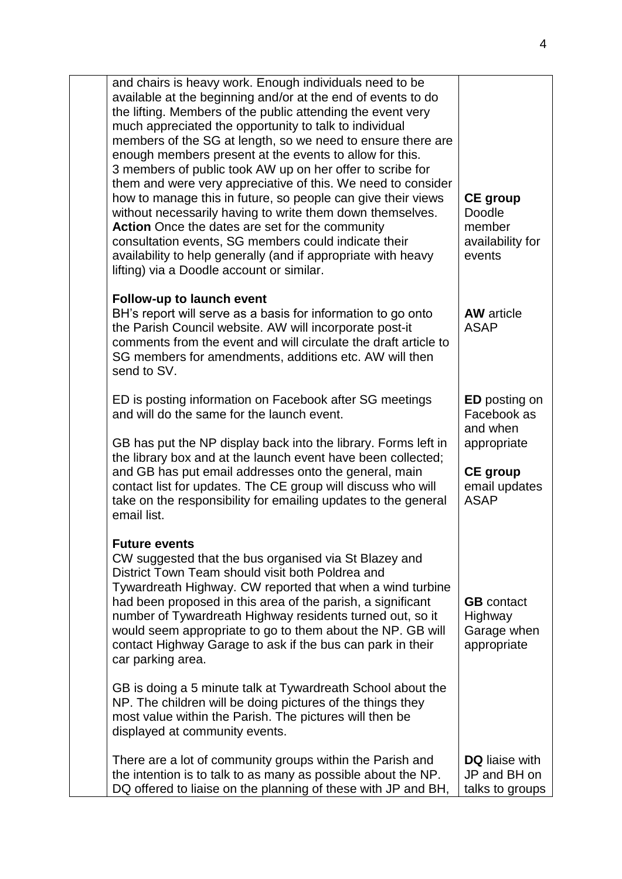| and chairs is heavy work. Enough individuals need to be<br>available at the beginning and/or at the end of events to do<br>the lifting. Members of the public attending the event very<br>much appreciated the opportunity to talk to individual<br>members of the SG at length, so we need to ensure there are<br>enough members present at the events to allow for this.<br>3 members of public took AW up on her offer to scribe for<br>them and were very appreciative of this. We need to consider<br>how to manage this in future, so people can give their views<br>without necessarily having to write them down themselves.<br>Action Once the dates are set for the community<br>consultation events, SG members could indicate their<br>availability to help generally (and if appropriate with heavy<br>lifting) via a Doodle account or similar. | <b>CE</b> group<br>Doodle<br>member<br>availability for<br>events                                                 |
|---------------------------------------------------------------------------------------------------------------------------------------------------------------------------------------------------------------------------------------------------------------------------------------------------------------------------------------------------------------------------------------------------------------------------------------------------------------------------------------------------------------------------------------------------------------------------------------------------------------------------------------------------------------------------------------------------------------------------------------------------------------------------------------------------------------------------------------------------------------|-------------------------------------------------------------------------------------------------------------------|
| <b>Follow-up to launch event</b><br>BH's report will serve as a basis for information to go onto<br>the Parish Council website. AW will incorporate post-it<br>comments from the event and will circulate the draft article to<br>SG members for amendments, additions etc. AW will then<br>send to SV.                                                                                                                                                                                                                                                                                                                                                                                                                                                                                                                                                       | <b>AW</b> article<br><b>ASAP</b>                                                                                  |
| ED is posting information on Facebook after SG meetings<br>and will do the same for the launch event.<br>GB has put the NP display back into the library. Forms left in<br>the library box and at the launch event have been collected;<br>and GB has put email addresses onto the general, main<br>contact list for updates. The CE group will discuss who will<br>take on the responsibility for emailing updates to the general<br>email list.                                                                                                                                                                                                                                                                                                                                                                                                             | <b>ED</b> posting on<br>Facebook as<br>and when<br>appropriate<br><b>CE</b> group<br>email updates<br><b>ASAP</b> |
| <b>Future events</b><br>CW suggested that the bus organised via St Blazey and<br>District Town Team should visit both Poldrea and<br>Tywardreath Highway. CW reported that when a wind turbine<br>had been proposed in this area of the parish, a significant<br>number of Tywardreath Highway residents turned out, so it<br>would seem appropriate to go to them about the NP. GB will<br>contact Highway Garage to ask if the bus can park in their<br>car parking area.                                                                                                                                                                                                                                                                                                                                                                                   | <b>GB</b> contact<br>Highway<br>Garage when<br>appropriate                                                        |
| GB is doing a 5 minute talk at Tywardreath School about the<br>NP. The children will be doing pictures of the things they<br>most value within the Parish. The pictures will then be<br>displayed at community events.                                                                                                                                                                                                                                                                                                                                                                                                                                                                                                                                                                                                                                        |                                                                                                                   |
| There are a lot of community groups within the Parish and<br>the intention is to talk to as many as possible about the NP.<br>DQ offered to liaise on the planning of these with JP and BH,                                                                                                                                                                                                                                                                                                                                                                                                                                                                                                                                                                                                                                                                   | <b>DQ</b> liaise with<br>JP and BH on<br>talks to groups                                                          |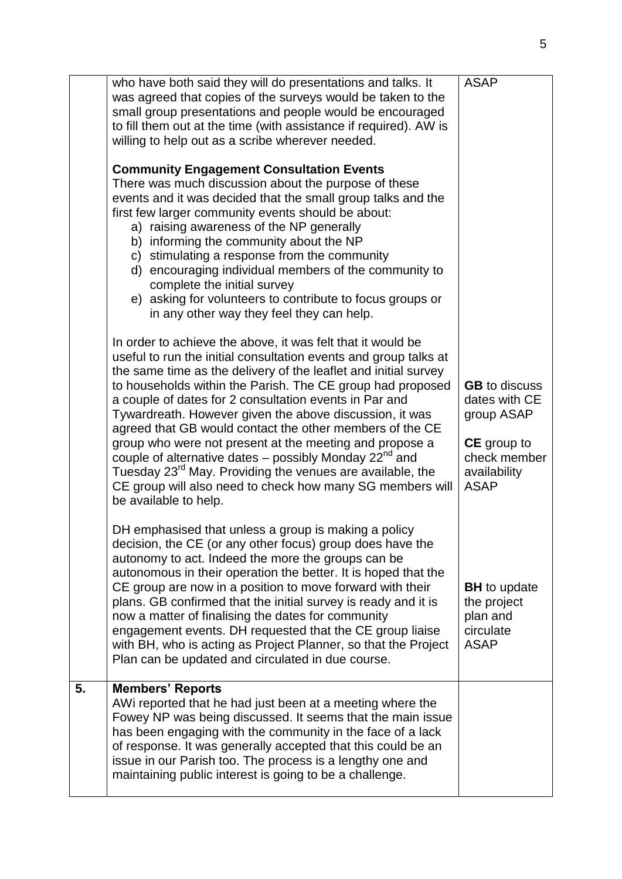|    | who have both said they will do presentations and talks. It                                                                          | <b>ASAP</b>                           |
|----|--------------------------------------------------------------------------------------------------------------------------------------|---------------------------------------|
|    | was agreed that copies of the surveys would be taken to the                                                                          |                                       |
|    | small group presentations and people would be encouraged                                                                             |                                       |
|    | to fill them out at the time (with assistance if required). AW is                                                                    |                                       |
|    | willing to help out as a scribe wherever needed.                                                                                     |                                       |
|    | <b>Community Engagement Consultation Events</b>                                                                                      |                                       |
|    | There was much discussion about the purpose of these                                                                                 |                                       |
|    | events and it was decided that the small group talks and the                                                                         |                                       |
|    | first few larger community events should be about:<br>a) raising awareness of the NP generally                                       |                                       |
|    | b) informing the community about the NP                                                                                              |                                       |
|    | c) stimulating a response from the community                                                                                         |                                       |
|    | d) encouraging individual members of the community to                                                                                |                                       |
|    | complete the initial survey<br>e) asking for volunteers to contribute to focus groups or                                             |                                       |
|    | in any other way they feel they can help.                                                                                            |                                       |
|    | In order to achieve the above, it was felt that it would be                                                                          |                                       |
|    | useful to run the initial consultation events and group talks at                                                                     |                                       |
|    | the same time as the delivery of the leaflet and initial survey                                                                      |                                       |
|    | to households within the Parish. The CE group had proposed<br>a couple of dates for 2 consultation events in Par and                 | <b>GB</b> to discuss<br>dates with CE |
|    | Tywardreath. However given the above discussion, it was                                                                              | group ASAP                            |
|    | agreed that GB would contact the other members of the CE                                                                             |                                       |
|    | group who were not present at the meeting and propose a                                                                              | <b>CE</b> group to                    |
|    | couple of alternative dates – possibly Monday $22^{nd}$ and<br>Tuesday 23 <sup>rd</sup> May. Providing the venues are available, the | check member<br>availability          |
|    | CE group will also need to check how many SG members will                                                                            | <b>ASAP</b>                           |
|    | be available to help.                                                                                                                |                                       |
|    | DH emphasised that unless a group is making a policy                                                                                 |                                       |
|    | decision, the CE (or any other focus) group does have the                                                                            |                                       |
|    | autonomy to act. Indeed the more the groups can be<br>autonomous in their operation the better. It is hoped that the                 |                                       |
|    | CE group are now in a position to move forward with their                                                                            | <b>BH</b> to update                   |
|    | plans. GB confirmed that the initial survey is ready and it is                                                                       | the project                           |
|    | now a matter of finalising the dates for community                                                                                   | plan and                              |
|    | engagement events. DH requested that the CE group liaise<br>with BH, who is acting as Project Planner, so that the Project           | circulate<br><b>ASAP</b>              |
|    | Plan can be updated and circulated in due course.                                                                                    |                                       |
| 5. | <b>Members' Reports</b>                                                                                                              |                                       |
|    | AWI reported that he had just been at a meeting where the                                                                            |                                       |
|    | Fowey NP was being discussed. It seems that the main issue                                                                           |                                       |
|    | has been engaging with the community in the face of a lack<br>of response. It was generally accepted that this could be an           |                                       |
|    | issue in our Parish too. The process is a lengthy one and                                                                            |                                       |
|    | maintaining public interest is going to be a challenge.                                                                              |                                       |
|    |                                                                                                                                      |                                       |